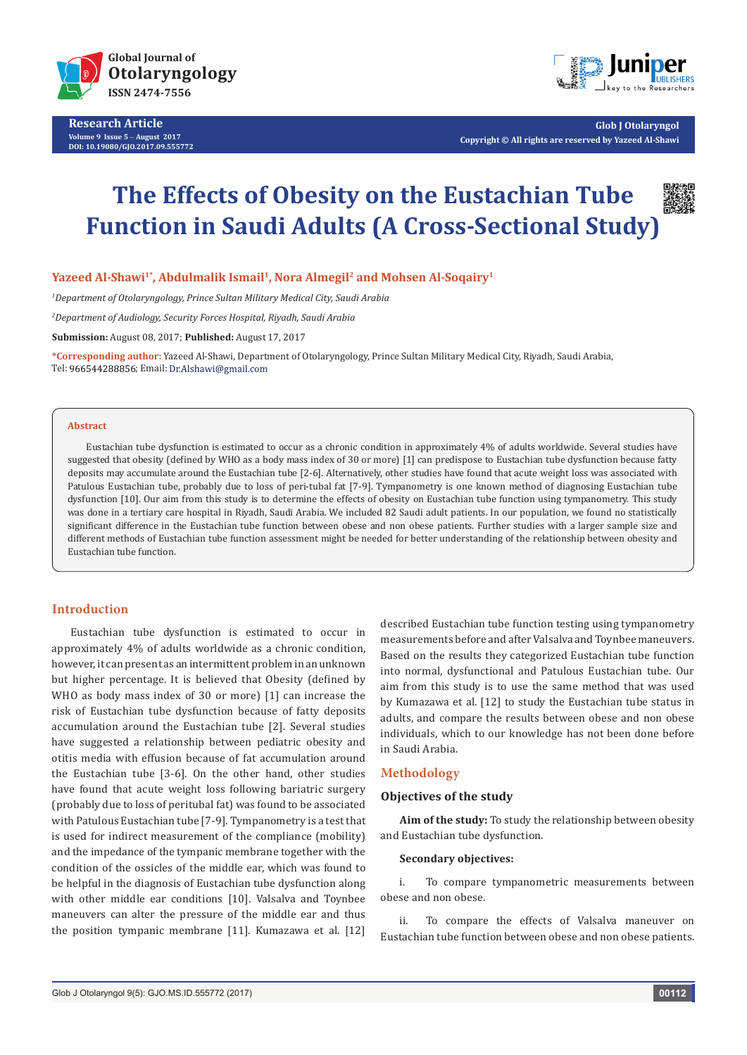

**Research Article Volume 9 Issue 5** - **August 2017 DOI: [10.19080/GJO.2017.09.555772](http://dx.doi.org/10.19080/GJO.2017.09.555772)**



**Glob J Otolaryngol Copyright © All rights are reserved by Yazeed Al-Shawi**

# **The Effects of Obesity on the Eustachian Tube Function in Saudi Adults (A Cross-Sectional Study)**



*1 Department of Otolaryngology, Prince Sultan Military Medical City, Saudi Arabia*

*2 Department of Audiology, Security Forces Hospital, Riyadh, Saudi Arabia*

**Submission:** August 08, 2017; **Published:** August 17, 2017

**\*Corresponding author:** Yazeed Al-Shawi, Department of Otolaryngology, Prince Sultan Military Medical City, Riyadh, Saudi Arabia, Tel: 966544288856; Email: Dr.Alshawi@gmail.com

#### **Abstract**

Eustachian tube dysfunction is estimated to occur as a chronic condition in approximately 4% of adults worldwide. Several studies have suggested that obesity (defined by WHO as a body mass index of 30 or more) [1] can predispose to Eustachian tube dysfunction because fatty deposits may accumulate around the Eustachian tube [2-6]. Alternatively, other studies have found that acute weight loss was associated with Patulous Eustachian tube, probably due to loss of peri-tubal fat [7-9]. Tympanometry is one known method of diagnosing Eustachian tube dysfunction [10]. Our aim from this study is to determine the effects of obesity on Eustachian tube function using tympanometry. This study was done in a tertiary care hospital in Riyadh, Saudi Arabia. We included 82 Saudi adult patients. In our population, we found no statistically significant difference in the Eustachian tube function between obese and non obese patients. Further studies with a larger sample size and different methods of Eustachian tube function assessment might be needed for better understanding of the relationship between obesity and Eustachian tube function.

# **Introduction**

Eustachian tube dysfunction is estimated to occur in approximately 4% of adults worldwide as a chronic condition, however, it can present as an intermittent problem in an unknown but higher percentage. It is believed that Obesity (defined by WHO as body mass index of 30 or more) [1] can increase the risk of Eustachian tube dysfunction because of fatty deposits accumulation around the Eustachian tube [2]. Several studies have suggested a relationship between pediatric obesity and otitis media with effusion because of fat accumulation around the Eustachian tube [3-6]. On the other hand, other studies have found that acute weight loss following bariatric surgery (probably due to loss of peritubal fat) was found to be associated with Patulous Eustachian tube [7-9]. Tympanometry is a test that is used for indirect measurement of the compliance (mobility) and the impedance of the tympanic membrane together with the condition of the ossicles of the middle ear, which was found to be helpful in the diagnosis of Eustachian tube dysfunction along with other middle ear conditions [10]. Valsalva and Toynbee maneuvers can alter the pressure of the middle ear and thus the position tympanic membrane [11]. Kumazawa et al. [12]

described Eustachian tube function testing using tympanometry measurements before and after Valsalva and Toynbee maneuvers. Based on the results they categorized Eustachian tube function into normal, dysfunctional and Patulous Eustachian tube. Our aim from this study is to use the same method that was used by Kumazawa et al. [12] to study the Eustachian tube status in adults, and compare the results between obese and non obese individuals, which to our knowledge has not been done before in Saudi Arabia.

# **Methodology**

## **Objectives of the study**

**Aim of the study:** To study the relationship between obesity and Eustachian tube dysfunction.

#### **Secondary objectives:**

i. To compare tympanometric measurements between obese and non obese.

ii. To compare the effects of Valsalva maneuver on Eustachian tube function between obese and non obese patients.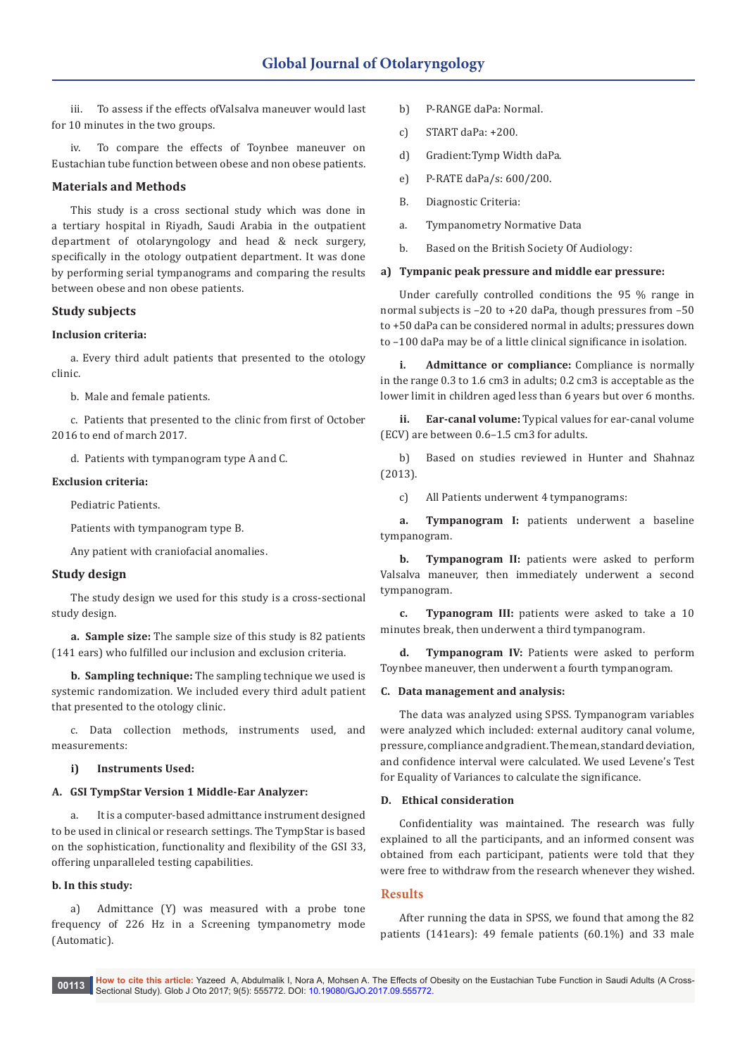iii. To assess if the effects ofValsalva maneuver would last for 10 minutes in the two groups.

iv. To compare the effects of Toynbee maneuver on Eustachian tube function between obese and non obese patients.

# **Materials and Methods**

This study is a cross sectional study which was done in a tertiary hospital in Riyadh, Saudi Arabia in the outpatient department of otolaryngology and head & neck surgery, specifically in the otology outpatient department. It was done by performing serial tympanograms and comparing the results between obese and non obese patients.

# **Study subjects**

# **Inclusion criteria:**

a. Every third adult patients that presented to the otology clinic.

b. Male and female patients.

c. Patients that presented to the clinic from first of October 2016 to end of march 2017.

d. Patients with tympanogram type A and C.

## **Exclusion criteria:**

Pediatric Patients.

Patients with tympanogram type B.

Any patient with craniofacial anomalies.

# **Study design**

The study design we used for this study is a cross-sectional study design.

**a. Sample size:** The sample size of this study is 82 patients (141 ears) who fulfilled our inclusion and exclusion criteria.

**b. Sampling technique:** The sampling technique we used is systemic randomization. We included every third adult patient that presented to the otology clinic.

c. Data collection methods, instruments used, and measurements:

## **i) Instruments Used:**

## **A. GSI TympStar Version 1 Middle-Ear Analyzer:**

a. It is a computer-based admittance instrument designed to be used in clinical or research settings. The TympStar is based on the sophistication, functionality and flexibility of the GSI 33, offering unparalleled testing capabilities.

# **b. In this study:**

a) Admittance (Y) was measured with a probe tone frequency of 226 Hz in a Screening tympanometry mode (Automatic).

- b) P-RANGE daPa: Normal.
- c) START daPa: +200.
- d) Gradient:Tymp Width daPa.
- e) P-RATE daPa/s: 600/200.
- B. Diagnostic Criteria:
- a. Tympanometry Normative Data
- b. Based on the British Society Of Audiology:

# **a) Tympanic peak pressure and middle ear pressure:**

Under carefully controlled conditions the 95 % range in normal subjects is –20 to +20 daPa, though pressures from –50 to +50 daPa can be considered normal in adults; pressures down to –100 daPa may be of a little clinical significance in isolation.

**i. Admittance or compliance:** Compliance is normally in the range 0.3 to 1.6 cm3 in adults; 0.2 cm3 is acceptable as the lower limit in children aged less than 6 years but over 6 months.

**ii. Ear-canal volume:** Typical values for ear-canal volume (ECV) are between 0.6–1.5 cm3 for adults.

b) Based on studies reviewed in Hunter and Shahnaz (2013).

c) All Patients underwent 4 tympanograms:

**a. Tympanogram I:** patients underwent a baseline tympanogram.

**b. Tympanogram II:** patients were asked to perform Valsalva maneuver, then immediately underwent a second tympanogram.

**c. Typanogram III:** patients were asked to take a 10 minutes break, then underwent a third tympanogram.

**d. Tympanogram IV:** Patients were asked to perform Toynbee maneuver, then underwent a fourth tympanogram.

## **C. Data management and analysis:**

The data was analyzed using SPSS. Tympanogram variables were analyzed which included: external auditory canal volume, pressure, compliance and gradient. The mean, standard deviation, and confidence interval were calculated. We used Levene's Test for Equality of Variances to calculate the significance.

## **D. Ethical consideration**

Confidentiality was maintained. The research was fully explained to all the participants, and an informed consent was obtained from each participant, patients were told that they were free to withdraw from the research whenever they wished.

# **Results**

After running the data in SPSS, we found that among the 82 patients (141ears): 49 female patients (60.1%) and 33 male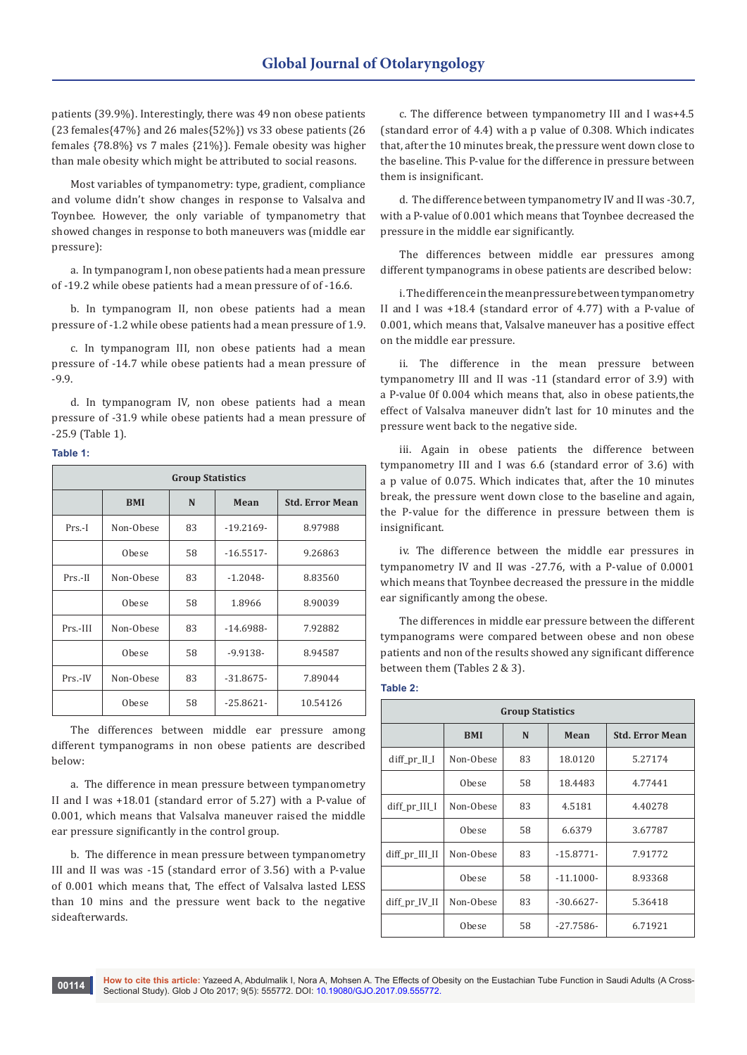patients (39.9%). Interestingly, there was 49 non obese patients (23 females{47%} and 26 males{52%}) vs 33 obese patients (26 females {78.8%} vs 7 males {21%}). Female obesity was higher than male obesity which might be attributed to social reasons.

Most variables of tympanometry: type, gradient, compliance and volume didn't show changes in response to Valsalva and Toynbee. However, the only variable of tympanometry that showed changes in response to both maneuvers was (middle ear pressure):

a. In tympanogram I, non obese patients had a mean pressure of -19.2 while obese patients had a mean pressure of of -16.6.

b. In tympanogram II, non obese patients had a mean pressure of -1.2 while obese patients had a mean pressure of 1.9.

c. In tympanogram III, non obese patients had a mean pressure of -14.7 while obese patients had a mean pressure of -9.9.

d. In tympanogram IV, non obese patients had a mean pressure of -31.9 while obese patients had a mean pressure of -25.9 (Table 1).

#### **Table 1:**

| <b>Group Statistics</b> |            |           |             |                        |  |  |  |
|-------------------------|------------|-----------|-------------|------------------------|--|--|--|
|                         | <b>BMI</b> | N<br>Mean |             | <b>Std. Error Mean</b> |  |  |  |
| $Prs.-I$                | Non-Obese  | 83        | $-19.2169-$ | 8.97988                |  |  |  |
|                         | Obese      | 58        | $-16.5517-$ | 9.26863                |  |  |  |
| $Prs.-II$               | Non-Obese  | 83        | $-1.2048-$  | 8.83560                |  |  |  |
|                         | Obese      | 58        | 1.8966      | 8.90039                |  |  |  |
| Prs.-III                | Non-Obese  | 83        | $-14.6988-$ | 7.92882                |  |  |  |
|                         | Obese      | 58        | $-9.9138-$  | 8.94587                |  |  |  |
| $Prs.-IV$               | Non-Obese  | 83        | $-31.8675-$ | 7.89044                |  |  |  |
|                         | Obese      | 58        | $-25.8621-$ | 10.54126               |  |  |  |

The differences between middle ear pressure among different tympanograms in non obese patients are described below:

a. The difference in mean pressure between tympanometry II and I was +18.01 (standard error of 5.27) with a P-value of 0.001, which means that Valsalva maneuver raised the middle ear pressure significantly in the control group.

b. The difference in mean pressure between tympanometry III and II was was -15 (standard error of 3.56) with a P-value of 0.001 which means that, The effect of Valsalva lasted LESS than 10 mins and the pressure went back to the negative sideafterwards.

c. The difference between tympanometry III and I was+4.5 (standard error of 4.4) with a p value of 0.308. Which indicates that, after the 10 minutes break, the pressure went down close to the baseline. This P-value for the difference in pressure between them is insignificant.

d. The difference between tympanometry IV and II was -30.7, with a P-value of 0.001 which means that Toynbee decreased the pressure in the middle ear significantly.

The differences between middle ear pressures among different tympanograms in obese patients are described below:

i. The difference in the mean pressure between tympanometry II and I was +18.4 (standard error of 4.77) with a P-value of 0.001, which means that, Valsalve maneuver has a positive effect on the middle ear pressure.

ii. The difference in the mean pressure between tympanometry III and II was -11 (standard error of 3.9) with a P-value 0f 0.004 which means that, also in obese patients,the effect of Valsalva maneuver didn't last for 10 minutes and the pressure went back to the negative side.

iii. Again in obese patients the difference between tympanometry III and I was 6.6 (standard error of 3.6) with a p value of 0.075. Which indicates that, after the 10 minutes break, the pressure went down close to the baseline and again, the P-value for the difference in pressure between them is insignificant.

iv. The difference between the middle ear pressures in tympanometry IV and II was -27.76, with a P-value of 0.0001 which means that Toynbee decreased the pressure in the middle ear significantly among the obese.

The differences in middle ear pressure between the different tympanograms were compared between obese and non obese patients and non of the results showed any significant difference between them (Tables 2 & 3).

#### **Table 2:**

| <b>Group Statistics</b> |              |    |             |                        |  |  |  |
|-------------------------|--------------|----|-------------|------------------------|--|--|--|
|                         | <b>BMI</b>   | N  | Mean        | <b>Std. Error Mean</b> |  |  |  |
| $diff_pr_I$ ILI         | Non-Obese    | 83 | 18.0120     | 5.27174                |  |  |  |
|                         | <b>Obese</b> | 58 | 18.4483     | 4.77441                |  |  |  |
| $diff_pr$ _ $III$       | Non-Obese    | 83 | 4.5181      | 4.40278                |  |  |  |
|                         | Obese        | 58 | 6.6379      | 3.67787                |  |  |  |
| diff_pr_III_II          | Non-Obese    | 83 | $-15.8771-$ | 7.91772                |  |  |  |
|                         | Obese        | 58 | $-11.1000-$ | 8.93368                |  |  |  |
| diff_pr_IV_II           | Non-Obese    | 83 | $-30.6627-$ | 5.36418                |  |  |  |
|                         | Obese        | 58 | $-27.7586-$ | 6.71921                |  |  |  |

**How to cite this article:** Yazeed A, Abdulmalik I, Nora A, Mohsen A. The Effects of Obesity on the Eustachian Tube Function in Saudi Adults (A Cross-**00114 Row to che this article:** Tazeed A, Abdulffialik I, Nora A, Monsell A. The Ellects of Oriental Study). Glob J Oto 2017; 9(5): 555772. DOI: [10.19080/GJO.2017.09.555772](http://dx.doi.org/10.19080/GJO.2017.09.555772).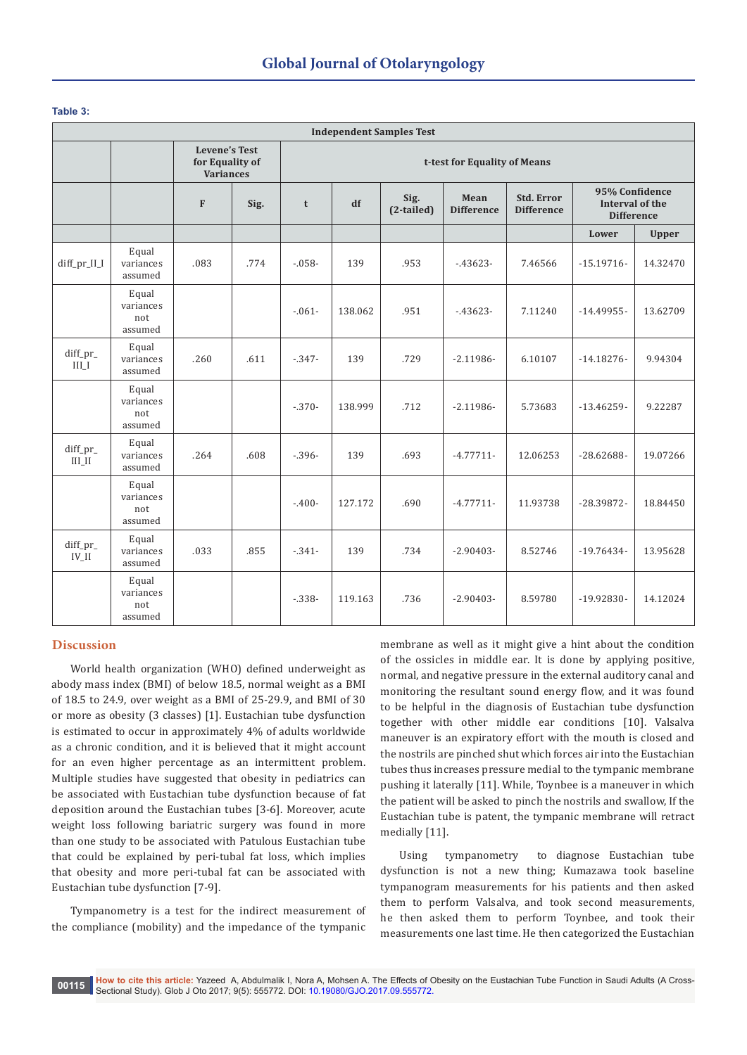## **Table 3:**

| <b>Independent Samples Test</b> |                                      |                                                             |      |                              |         |                    |                           |                                        |                                                               |              |
|---------------------------------|--------------------------------------|-------------------------------------------------------------|------|------------------------------|---------|--------------------|---------------------------|----------------------------------------|---------------------------------------------------------------|--------------|
|                                 |                                      | <b>Levene's Test</b><br>for Equality of<br><b>Variances</b> |      | t-test for Equality of Means |         |                    |                           |                                        |                                                               |              |
|                                 |                                      | $\mathbf{F}$                                                | Sig. | t                            | df      | Sig.<br>(2-tailed) | Mean<br><b>Difference</b> | <b>Std. Error</b><br><b>Difference</b> | 95% Confidence<br><b>Interval of the</b><br><b>Difference</b> |              |
|                                 |                                      |                                                             |      |                              |         |                    |                           |                                        | Lower                                                         | <b>Upper</b> |
| diff_pr_II_I                    | Equal<br>variances<br>assumed        | .083                                                        | .774 | $-058-$                      | 139     | .953               | $-43623-$                 | 7.46566                                | $-15.19716-$                                                  | 14.32470     |
|                                 | Equal<br>variances<br>not<br>assumed |                                                             |      | $-0.061 -$                   | 138.062 | .951               | $-43623-$                 | 7.11240                                | $-14.49955-$                                                  | 13.62709     |
| diff_pr_<br>$\coprod \coprod$   | Equal<br>variances<br>assumed        | .260                                                        | .611 | $-347-$                      | 139     | .729               | $-2.11986-$               | 6.10107                                | $-14.18276-$                                                  | 9.94304      |
|                                 | Equal<br>variances<br>not<br>assumed |                                                             |      | $-370-$                      | 138.999 | .712               | $-2.11986-$               | 5.73683                                | $-13.46259-$                                                  | 9.22287      |
| diff_pr_<br>$\rm III$ $\rm II$  | Equal<br>variances<br>assumed        | .264                                                        | .608 | $-0.396-$                    | 139     | .693               | $-4.77711-$               | 12.06253                               | $-28.62688-$                                                  | 19.07266     |
|                                 | Equal<br>variances<br>not<br>assumed |                                                             |      | $-.400-$                     | 127.172 | .690               | $-4.77711-$               | 11.93738                               | $-28.39872-$                                                  | 18.84450     |
| diff_pr_<br>$IV$ <sub>II</sub>  | Equal<br>variances<br>assumed        | .033                                                        | .855 | $-341-$                      | 139     | .734               | $-2.90403-$               | 8.52746                                | $-19.76434-$                                                  | 13.95628     |
|                                 | Equal<br>variances<br>not<br>assumed |                                                             |      | $-338-$                      | 119.163 | .736               | $-2.90403-$               | 8.59780                                | $-19.92830-$                                                  | 14.12024     |

# **Discussion**

World health organization (WHO) defined underweight as abody mass index (BMI) of below 18.5, normal weight as a BMI of 18.5 to 24.9, over weight as a BMI of 25-29.9, and BMI of 30 or more as obesity (3 classes) [1]. Eustachian tube dysfunction is estimated to occur in approximately 4% of adults worldwide as a chronic condition, and it is believed that it might account for an even higher percentage as an intermittent problem. Multiple studies have suggested that obesity in pediatrics can be associated with Eustachian tube dysfunction because of fat deposition around the Eustachian tubes [3-6]. Moreover, acute weight loss following bariatric surgery was found in more than one study to be associated with Patulous Eustachian tube that could be explained by peri-tubal fat loss, which implies that obesity and more peri-tubal fat can be associated with Eustachian tube dysfunction [7-9].

Tympanometry is a test for the indirect measurement of the compliance (mobility) and the impedance of the tympanic membrane as well as it might give a hint about the condition of the ossicles in middle ear. It is done by applying positive, normal, and negative pressure in the external auditory canal and monitoring the resultant sound energy flow, and it was found to be helpful in the diagnosis of Eustachian tube dysfunction together with other middle ear conditions [10]. Valsalva maneuver is an expiratory effort with the mouth is closed and the nostrils are pinched shut which forces air into the Eustachian tubes thus increases pressure medial to the tympanic membrane pushing it laterally [11]. While, Toynbee is a maneuver in which the patient will be asked to pinch the nostrils and swallow, If the Eustachian tube is patent, the tympanic membrane will retract medially [11].

Using tympanometry to diagnose Eustachian tube dysfunction is not a new thing; Kumazawa took baseline tympanogram measurements for his patients and then asked them to perform Valsalva, and took second measurements, he then asked them to perform Toynbee, and took their measurements one last time. He then categorized the Eustachian